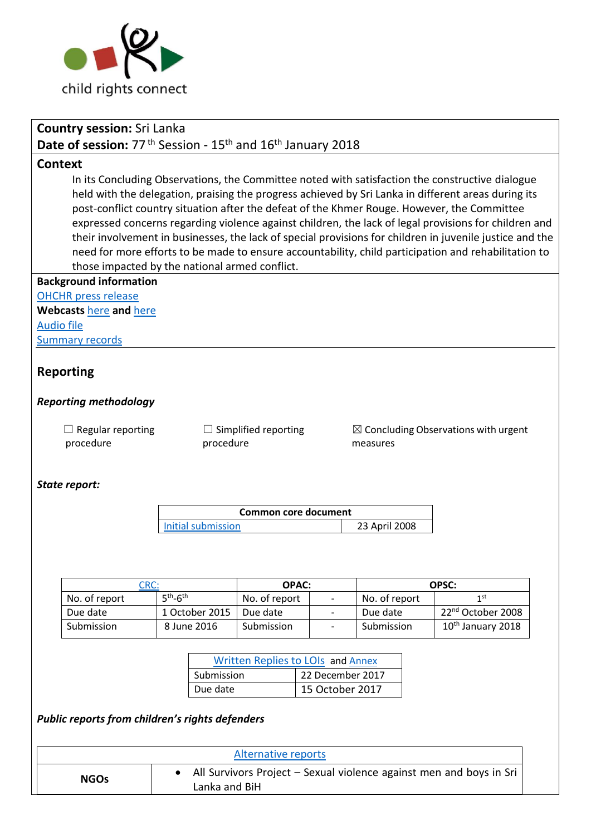

| <b>Country session: Sri Lanka</b>                                                                                                                                                                                                                                                                     |      |                             |                           |                                                |                 |                                                 |                  |                                                                                                          |  |  |
|-------------------------------------------------------------------------------------------------------------------------------------------------------------------------------------------------------------------------------------------------------------------------------------------------------|------|-----------------------------|---------------------------|------------------------------------------------|-----------------|-------------------------------------------------|------------------|----------------------------------------------------------------------------------------------------------|--|--|
| Date of session: 77 <sup>th</sup> Session - 15 <sup>th</sup> and 16 <sup>th</sup> January 2018                                                                                                                                                                                                        |      |                             |                           |                                                |                 |                                                 |                  |                                                                                                          |  |  |
| <b>Context</b>                                                                                                                                                                                                                                                                                        |      |                             |                           |                                                |                 |                                                 |                  |                                                                                                          |  |  |
|                                                                                                                                                                                                                                                                                                       |      |                             |                           |                                                |                 |                                                 |                  |                                                                                                          |  |  |
| In its Concluding Observations, the Committee noted with satisfaction the constructive dialogue<br>held with the delegation, praising the progress achieved by Sri Lanka in different areas during its<br>post-conflict country situation after the defeat of the Khmer Rouge. However, the Committee |      |                             |                           |                                                |                 |                                                 |                  |                                                                                                          |  |  |
|                                                                                                                                                                                                                                                                                                       |      |                             |                           |                                                |                 |                                                 |                  |                                                                                                          |  |  |
|                                                                                                                                                                                                                                                                                                       |      |                             |                           |                                                |                 |                                                 |                  | their involvement in businesses, the lack of special provisions for children in juvenile justice and the |  |  |
|                                                                                                                                                                                                                                                                                                       |      |                             |                           |                                                |                 |                                                 |                  | need for more efforts to be made to ensure accountability, child participation and rehabilitation to     |  |  |
|                                                                                                                                                                                                                                                                                                       |      |                             |                           | those impacted by the national armed conflict. |                 |                                                 |                  |                                                                                                          |  |  |
| <b>Background information</b>                                                                                                                                                                                                                                                                         |      |                             |                           |                                                |                 |                                                 |                  |                                                                                                          |  |  |
| <b>OHCHR</b> press release                                                                                                                                                                                                                                                                            |      |                             |                           |                                                |                 |                                                 |                  |                                                                                                          |  |  |
| Webcasts here and here                                                                                                                                                                                                                                                                                |      |                             |                           |                                                |                 |                                                 |                  |                                                                                                          |  |  |
| <b>Audio file</b>                                                                                                                                                                                                                                                                                     |      |                             |                           |                                                |                 |                                                 |                  |                                                                                                          |  |  |
| <b>Summary records</b>                                                                                                                                                                                                                                                                                |      |                             |                           |                                                |                 |                                                 |                  |                                                                                                          |  |  |
| <b>Reporting</b>                                                                                                                                                                                                                                                                                      |      |                             |                           |                                                |                 |                                                 |                  |                                                                                                          |  |  |
| <b>Reporting methodology</b>                                                                                                                                                                                                                                                                          |      |                             |                           |                                                |                 |                                                 |                  |                                                                                                          |  |  |
| $\Box$ Regular reporting                                                                                                                                                                                                                                                                              |      | $\Box$ Simplified reporting |                           |                                                |                 | $\boxtimes$ Concluding Observations with urgent |                  |                                                                                                          |  |  |
| procedure                                                                                                                                                                                                                                                                                             |      |                             | procedure                 |                                                |                 |                                                 | measures         |                                                                                                          |  |  |
|                                                                                                                                                                                                                                                                                                       |      |                             |                           |                                                |                 |                                                 |                  |                                                                                                          |  |  |
| State report:                                                                                                                                                                                                                                                                                         |      |                             |                           |                                                |                 |                                                 |                  |                                                                                                          |  |  |
|                                                                                                                                                                                                                                                                                                       |      |                             |                           |                                                |                 |                                                 |                  |                                                                                                          |  |  |
|                                                                                                                                                                                                                                                                                                       |      |                             |                           | <b>Common core document</b>                    |                 |                                                 |                  |                                                                                                          |  |  |
|                                                                                                                                                                                                                                                                                                       |      |                             | <b>Initial submission</b> |                                                | 23 April 2008   |                                                 |                  |                                                                                                          |  |  |
|                                                                                                                                                                                                                                                                                                       |      |                             |                           |                                                |                 |                                                 |                  |                                                                                                          |  |  |
|                                                                                                                                                                                                                                                                                                       |      |                             |                           |                                                |                 |                                                 |                  |                                                                                                          |  |  |
|                                                                                                                                                                                                                                                                                                       |      |                             |                           | <b>OPAC:</b>                                   |                 |                                                 |                  |                                                                                                          |  |  |
| No. of report                                                                                                                                                                                                                                                                                         | CRC: | $5th-6th$                   |                           | No. of report                                  |                 |                                                 | No. of report    | OPSC:<br>1 <sup>st</sup>                                                                                 |  |  |
| Due date                                                                                                                                                                                                                                                                                              |      |                             | 1 October 2015            | Due date                                       |                 | $\overline{\phantom{a}}$                        | Due date         | 22 <sup>nd</sup> October 2008                                                                            |  |  |
| Submission                                                                                                                                                                                                                                                                                            |      |                             | 8 June 2016               | Submission                                     |                 |                                                 | Submission       | 10 <sup>th</sup> January 2018                                                                            |  |  |
|                                                                                                                                                                                                                                                                                                       |      |                             |                           |                                                |                 |                                                 |                  |                                                                                                          |  |  |
|                                                                                                                                                                                                                                                                                                       |      |                             |                           | Written Replies to LOIs and Annex              |                 |                                                 |                  |                                                                                                          |  |  |
|                                                                                                                                                                                                                                                                                                       |      | Submission                  |                           |                                                |                 |                                                 | 22 December 2017 |                                                                                                          |  |  |
|                                                                                                                                                                                                                                                                                                       |      |                             | Due date                  |                                                | 15 October 2017 |                                                 |                  |                                                                                                          |  |  |
|                                                                                                                                                                                                                                                                                                       |      |                             |                           |                                                |                 |                                                 |                  |                                                                                                          |  |  |
| Public reports from children's rights defenders                                                                                                                                                                                                                                                       |      |                             |                           |                                                |                 |                                                 |                  |                                                                                                          |  |  |
|                                                                                                                                                                                                                                                                                                       |      |                             |                           |                                                |                 |                                                 |                  |                                                                                                          |  |  |
|                                                                                                                                                                                                                                                                                                       |      |                             |                           | <b>Alternative reports</b>                     |                 |                                                 |                  |                                                                                                          |  |  |
|                                                                                                                                                                                                                                                                                                       |      | $\bullet$                   |                           |                                                |                 |                                                 |                  | All Survivors Project - Sexual violence against men and boys in Sri                                      |  |  |
| <b>NGOs</b>                                                                                                                                                                                                                                                                                           |      |                             |                           |                                                |                 |                                                 |                  |                                                                                                          |  |  |

Lanka and BiH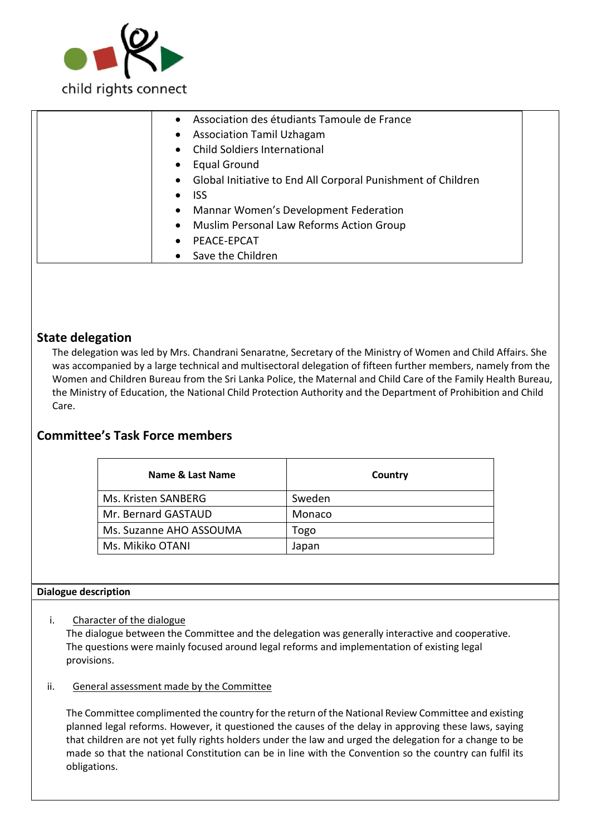

| Association des étudiants Tamoule de France                    |
|----------------------------------------------------------------|
| <b>Association Tamil Uzhagam</b><br>$\bullet$                  |
| <b>Child Soldiers International</b>                            |
| <b>Equal Ground</b>                                            |
| • Global Initiative to End All Corporal Punishment of Children |
| <b>ISS</b>                                                     |
| Mannar Women's Development Federation<br>$\bullet$             |
| Muslim Personal Law Reforms Action Group<br>$\bullet$          |
| PEACE-EPCAT                                                    |
| • Save the Children                                            |

### **State delegation**

The delegation was led by Mrs. Chandrani Senaratne, Secretary of the Ministry of Women and Child Affairs. She was accompanied by a large technical and multisectoral delegation of fifteen further members, namely from the Women and Children Bureau from the Sri Lanka Police, the Maternal and Child Care of the Family Health Bureau, the Ministry of Education, the National Child Protection Authority and the Department of Prohibition and Child Care.

## **Committee's Task Force members**

| Name & Last Name        | Country |
|-------------------------|---------|
| Ms. Kristen SANBERG     | Sweden  |
| Mr. Bernard GASTAUD     | Monaco  |
| Ms. Suzanne AHO ASSOUMA | Togo    |
| Ms. Mikiko OTANI        | Japan   |

#### **Dialogue description**

i. Character of the dialogue

The dialogue between the Committee and the delegation was generally interactive and cooperative. The questions were mainly focused around legal reforms and implementation of existing legal provisions.

ii. General assessment made by the Committee

The Committee complimented the country for the return of the National Review Committee and existing planned legal reforms. However, it questioned the causes of the delay in approving these laws, saying that children are not yet fully rights holders under the law and urged the delegation for a change to be made so that the national Constitution can be in line with the Convention so the country can fulfil its obligations.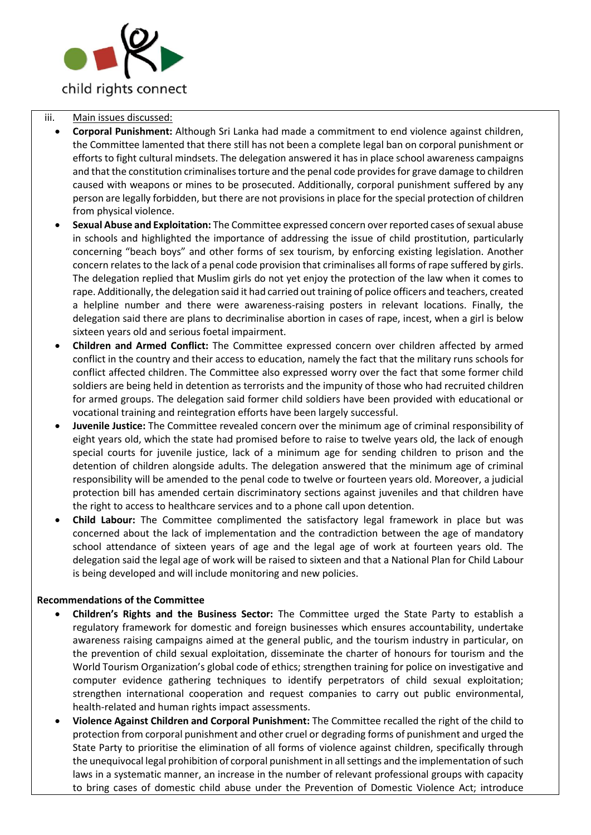

#### iii. Main issues discussed:

- **Corporal Punishment:** Although Sri Lanka had made a commitment to end violence against children, the Committee lamented that there still has not been a complete legal ban on corporal punishment or efforts to fight cultural mindsets. The delegation answered it has in place school awareness campaigns and that the constitution criminalises torture and the penal code provides for grave damage to children caused with weapons or mines to be prosecuted. Additionally, corporal punishment suffered by any person are legally forbidden, but there are not provisions in place for the special protection of children from physical violence.
- **Sexual Abuse and Exploitation:** The Committee expressed concern over reported cases of sexual abuse in schools and highlighted the importance of addressing the issue of child prostitution, particularly concerning "beach boys" and other forms of sex tourism, by enforcing existing legislation. Another concern relates to the lack of a penal code provision that criminalises all forms of rape suffered by girls. The delegation replied that Muslim girls do not yet enjoy the protection of the law when it comes to rape. Additionally, the delegation said it had carried out training of police officers and teachers, created a helpline number and there were awareness-raising posters in relevant locations. Finally, the delegation said there are plans to decriminalise abortion in cases of rape, incest, when a girl is below sixteen years old and serious foetal impairment.
- **Children and Armed Conflict:** The Committee expressed concern over children affected by armed conflict in the country and their access to education, namely the fact that the military runs schools for conflict affected children. The Committee also expressed worry over the fact that some former child soldiers are being held in detention as terrorists and the impunity of those who had recruited children for armed groups. The delegation said former child soldiers have been provided with educational or vocational training and reintegration efforts have been largely successful.
- **Juvenile Justice:** The Committee revealed concern over the minimum age of criminal responsibility of eight years old, which the state had promised before to raise to twelve years old, the lack of enough special courts for juvenile justice, lack of a minimum age for sending children to prison and the detention of children alongside adults. The delegation answered that the minimum age of criminal responsibility will be amended to the penal code to twelve or fourteen years old. Moreover, a judicial protection bill has amended certain discriminatory sections against juveniles and that children have the right to access to healthcare services and to a phone call upon detention.
- **Child Labour:** The Committee complimented the satisfactory legal framework in place but was concerned about the lack of implementation and the contradiction between the age of mandatory school attendance of sixteen years of age and the legal age of work at fourteen years old. The delegation said the legal age of work will be raised to sixteen and that a National Plan for Child Labour is being developed and will include monitoring and new policies.

#### **Recommendations of the Committee**

- **Children's Rights and the Business Sector:** The Committee urged the State Party to establish a regulatory framework for domestic and foreign businesses which ensures accountability, undertake awareness raising campaigns aimed at the general public, and the tourism industry in particular, on the prevention of child sexual exploitation, disseminate the charter of honours for tourism and the World Tourism Organization's global code of ethics; strengthen training for police on investigative and computer evidence gathering techniques to identify perpetrators of child sexual exploitation; strengthen international cooperation and request companies to carry out public environmental, health-related and human rights impact assessments.
- **Violence Against Children and Corporal Punishment:** The Committee recalled the right of the child to protection from corporal punishment and other cruel or degrading forms of punishment and urged the State Party to prioritise the elimination of all forms of violence against children, specifically through the unequivocal legal prohibition of corporal punishment in all settings and the implementation of such laws in a systematic manner, an increase in the number of relevant professional groups with capacity to bring cases of domestic child abuse under the Prevention of Domestic Violence Act; introduce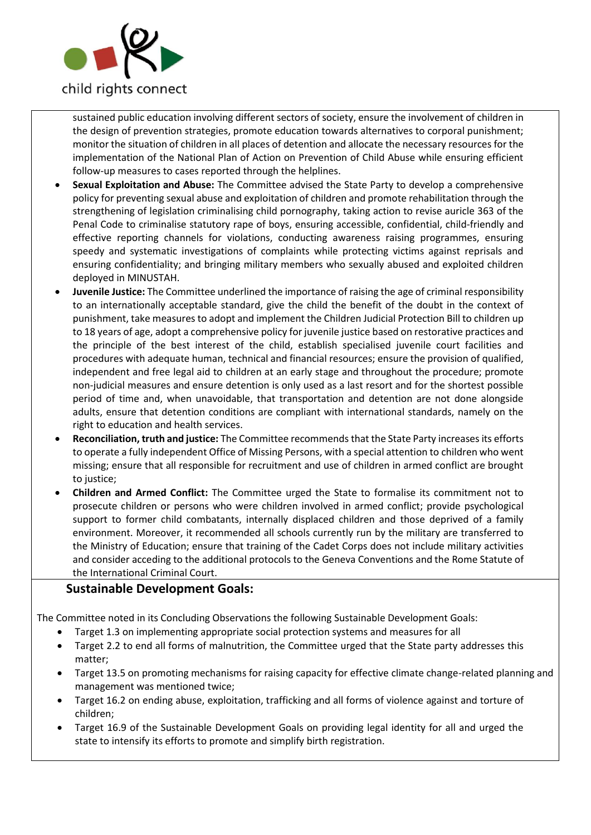

sustained public education involving different sectors of society, ensure the involvement of children in the design of prevention strategies, promote education towards alternatives to corporal punishment; monitor the situation of children in all places of detention and allocate the necessary resources for the implementation of the National Plan of Action on Prevention of Child Abuse while ensuring efficient follow-up measures to cases reported through the helplines.

- **Sexual Exploitation and Abuse:** The Committee advised the State Party to develop a comprehensive policy for preventing sexual abuse and exploitation of children and promote rehabilitation through the strengthening of legislation criminalising child pornography, taking action to revise auricle 363 of the Penal Code to criminalise statutory rape of boys, ensuring accessible, confidential, child-friendly and effective reporting channels for violations, conducting awareness raising programmes, ensuring speedy and systematic investigations of complaints while protecting victims against reprisals and ensuring confidentiality; and bringing military members who sexually abused and exploited children deployed in MINUSTAH.
- **Juvenile Justice:** The Committee underlined the importance of raising the age of criminal responsibility to an internationally acceptable standard, give the child the benefit of the doubt in the context of punishment, take measures to adopt and implement the Children Judicial Protection Bill to children up to 18 years of age, adopt a comprehensive policy for juvenile justice based on restorative practices and the principle of the best interest of the child, establish specialised juvenile court facilities and procedures with adequate human, technical and financial resources; ensure the provision of qualified, independent and free legal aid to children at an early stage and throughout the procedure; promote non-judicial measures and ensure detention is only used as a last resort and for the shortest possible period of time and, when unavoidable, that transportation and detention are not done alongside adults, ensure that detention conditions are compliant with international standards, namely on the right to education and health services.
- **Reconciliation, truth and justice:** The Committee recommends that the State Party increases its efforts to operate a fully independent Office of Missing Persons, with a special attention to children who went missing; ensure that all responsible for recruitment and use of children in armed conflict are brought to justice;
- **Children and Armed Conflict:** The Committee urged the State to formalise its commitment not to prosecute children or persons who were children involved in armed conflict; provide psychological support to former child combatants, internally displaced children and those deprived of a family environment. Moreover, it recommended all schools currently run by the military are transferred to the Ministry of Education; ensure that training of the Cadet Corps does not include military activities and consider acceding to the additional protocols to the Geneva Conventions and the Rome Statute of the International Criminal Court.

### **Sustainable Development Goals:**

The Committee noted in its Concluding Observations the following Sustainable Development Goals:

- Target 1.3 on implementing appropriate social protection systems and measures for all
- Target 2.2 to end all forms of malnutrition, the Committee urged that the State party addresses this matter;
- Target 13.5 on promoting mechanisms for raising capacity for effective climate change-related planning and management was mentioned twice;
- Target 16.2 on ending abuse, exploitation, trafficking and all forms of violence against and torture of children;
- Target 16.9 of the Sustainable Development Goals on providing legal identity for all and urged the state to intensify its efforts to promote and simplify birth registration.